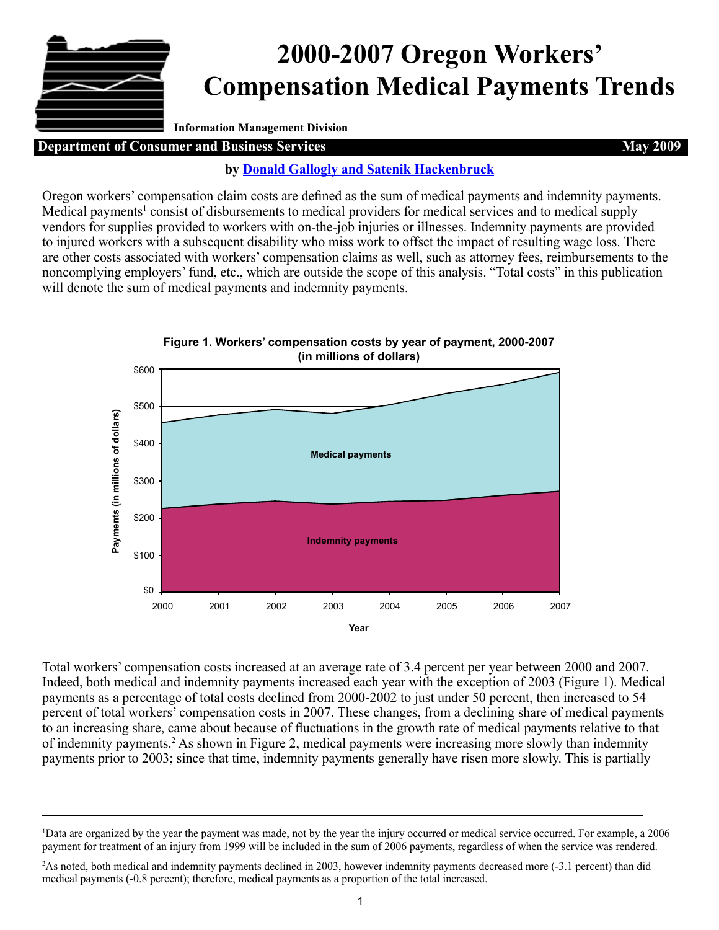# **2000-2007 Oregon Workers' Compensation Medical Payments Trends**

**Information Management Division**

## **Department of Consumer and Business Services May 2009 May 2009**

## **by [Donald Gallogly and Satenik Hackenbruck](mailto:DCBS.Research@state.or.us)**

Oregon workers' compensation claim costs are defined as the sum of medical payments and indemnity payments. Medical payments<sup>1</sup> consist of disbursements to medical providers for medical services and to medical supply vendors for supplies provided to workers with on-the-job injuries or illnesses. Indemnity payments are provided to injured workers with a subsequent disability who miss work to offset the impact of resulting wage loss. There are other costs associated with workers' compensation claims as well, such as attorney fees, reimbursements to the noncomplying employers' fund, etc., which are outside the scope of this analysis. "Total costs" in this publication will denote the sum of medical payments and indemnity payments.



**Figure 1. Workers' compensation costs by year of payment, 2000-2007**

Total workers' compensation costs increased at an average rate of 3.4 percent per year between 2000 and 2007. Indeed, both medical and indemnity payments increased each year with the exception of 2003 (Figure 1). Medical payments as a percentage of total costs declined from 2000-2002 to just under 50 percent, then increased to 54 percent of total workers' compensation costs in 2007. These changes, from a declining share of medical payments to an increasing share, came about because of fluctuations in the growth rate of medical payments relative to that of indemnity payments.<sup>2</sup> As shown in Figure 2, medical payments were increasing more slowly than indemnity payments prior to 2003; since that time, indemnity payments generally have risen more slowly. This is partially

<sup>1</sup> Data are organized by the year the payment was made, not by the year the injury occurred or medical service occurred. For example, a 2006 payment for treatment of an injury from 1999 will be included in the sum of 2006 payments, regardless of when the service was rendered.

<sup>2</sup> As noted, both medical and indemnity payments declined in 2003, however indemnity payments decreased more (-3.1 percent) than did medical payments (-0.8 percent); therefore, medical payments as a proportion of the total increased.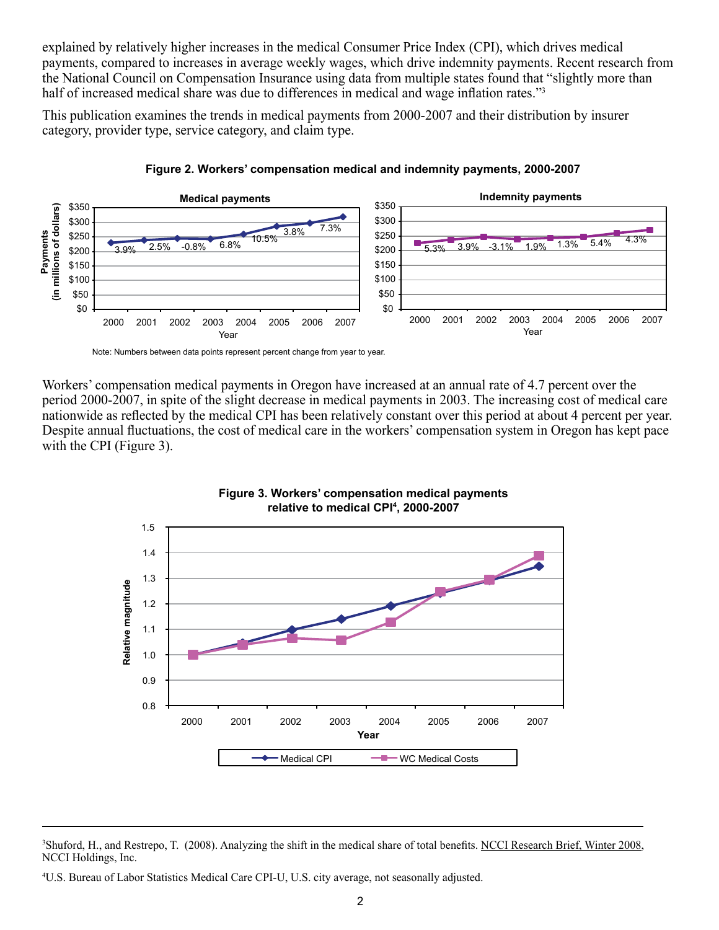explained by relatively higher increases in the medical Consumer Price Index (CPI), which drives medical payments, compared to increases in average weekly wages, which drive indemnity payments. Recent research from the National Council on Compensation Insurance using data from multiple states found that "slightly more than half of increased medical share was due to differences in medical and wage inflation rates."<sup>3</sup>

This publication examines the trends in medical payments from 2000-2007 and their distribution by insurer category, provider type, service category, and claim type.





Note: Numbers between data points represent percent change from year to year.

Workers' compensation medical payments in Oregon have increased at an annual rate of 4.7 percent over the period 2000-2007, in spite of the slight decrease in medical payments in 2003. The increasing cost of medical care nationwide as reflected by the medical CPI has been relatively constant over this period at about 4 percent per year. Despite annual fluctuations, the cost of medical care in the workers' compensation system in Oregon has kept pace with the CPI (Figure 3).





<sup>&</sup>lt;sup>3</sup>Shuford, H., and Restrepo, T. (2008). Analyzing the shift in the medical share of total benefits. NCCI Research Brief, Winter 2008, NCCI Holdings, Inc.

<sup>4</sup> U.S. Bureau of Labor Statistics Medical Care CPI-U, U.S. city average, not seasonally adjusted.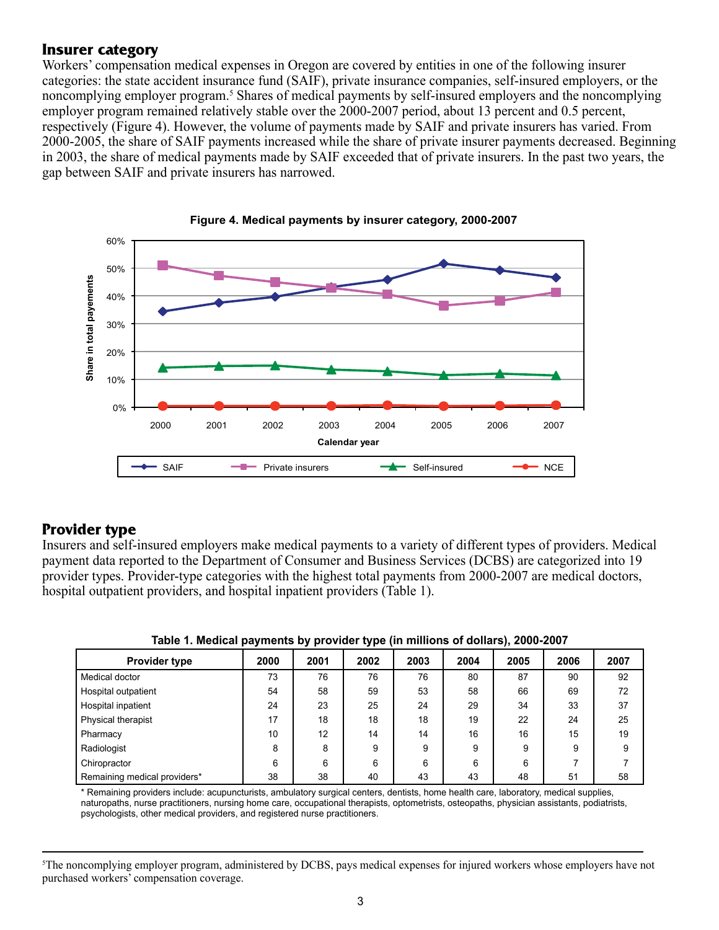## **Insurer category**

Workers' compensation medical expenses in Oregon are covered by entities in one of the following insurer categories: the state accident insurance fund (SAIF), private insurance companies, self-insured employers, or the noncomplying employer program.<sup>5</sup> Shares of medical payments by self-insured employers and the noncomplying employer program remained relatively stable over the 2000-2007 period, about 13 percent and 0.5 percent, respectively (Figure 4). However, the volume of payments made by SAIF and private insurers has varied. From 2000-2005, the share of SAIF payments increased while the share of private insurer payments decreased. Beginning in 2003, the share of medical payments made by SAIF exceeded that of private insurers. In the past two years, the gap between SAIF and private insurers has narrowed.





## **Provider type**

Insurers and self-insured employers make medical payments to a variety of different types of providers. Medical payment data reported to the Department of Consumer and Business Services (DCBS) are categorized into 19 provider types. Provider-type categories with the highest total payments from 2000-2007 are medical doctors, hospital outpatient providers, and hospital inpatient providers (Table 1).

| <b>Provider type</b>         | 2000 | 2001 | 2002 | 2003 | 2004 | 2005 | 2006 | 2007 |
|------------------------------|------|------|------|------|------|------|------|------|
| Medical doctor               | 73   | 76   | 76   | 76   | 80   | 87   | 90   | 92   |
| Hospital outpatient          | 54   | 58   | 59   | 53   | 58   | 66   | 69   | 72   |
| Hospital inpatient           | 24   | 23   | 25   | 24   | 29   | 34   | 33   | 37   |
| Physical therapist           | 17   | 18   | 18   | 18   | 19   | 22   | 24   | 25   |
| Pharmacy                     | 10   | 12   | 14   | 14   | 16   | 16   | 15   | 19   |
| Radiologist                  | 8    | 8    | 9    | 9    | 9    | 9    | 9    | 9    |
| Chiropractor                 | 6    | 6    | 6    | 6    | 6    | 6    |      |      |
| Remaining medical providers* | 38   | 38   | 40   | 43   | 43   | 48   | 51   | 58   |

**Table 1. Medical payments by provider type (in millions of dollars), 2000-2007**

\* Remaining providers include: acupuncturists, ambulatory surgical centers, dentists, home health care, laboratory, medical supplies, naturopaths, nurse practitioners, nursing home care, occupational therapists, optometrists, osteopaths, physician assistants, podiatrists, psychologists, other medical providers, and registered nurse practitioners.

<sup>5</sup> The noncomplying employer program, administered by DCBS, pays medical expenses for injured workers whose employers have not purchased workers' compensation coverage.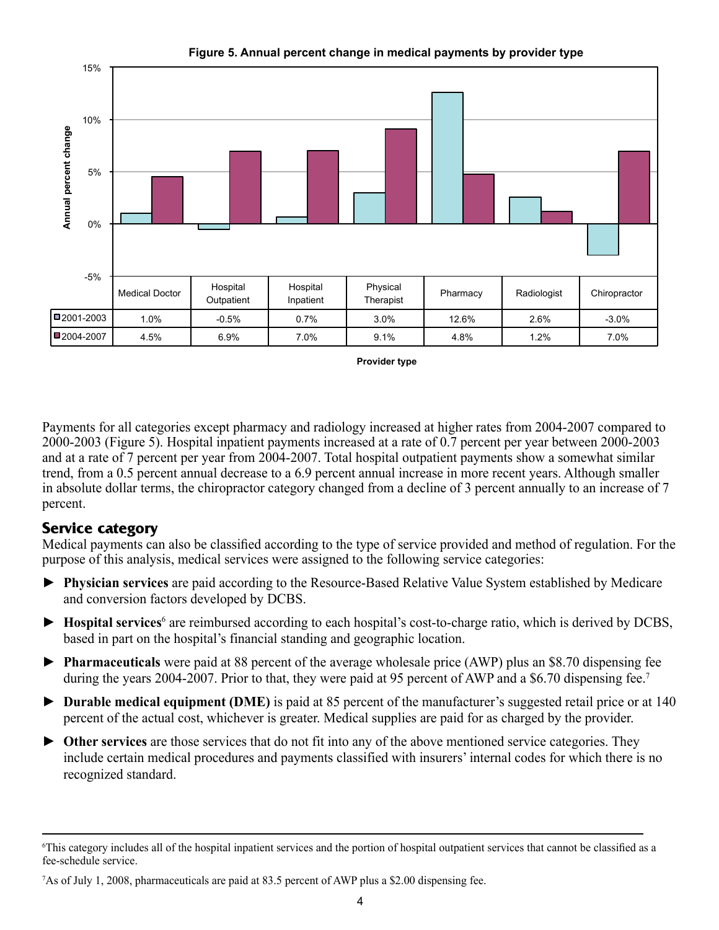

**Figure 5. Annual percent change in medical payments by provider type**

**Provider type** 

Payments for all categories except pharmacy and radiology increased at higher rates from 2004-2007 compared to 2000-2003 (Figure 5). Hospital inpatient payments increased at a rate of 0.7 percent per year between 2000-2003 and at a rate of 7 percent per year from 2004-2007. Total hospital outpatient payments show a somewhat similar trend, from a 0.5 percent annual decrease to a 6.9 percent annual increase in more recent years. Although smaller in absolute dollar terms, the chiropractor category changed from a decline of 3 percent annually to an increase of 7 percent.

# **Service category**

Medical payments can also be classified according to the type of service provided and method of regulation. For the purpose of this analysis, medical services were assigned to the following service categories:

- ► **Physician services** are paid according to the Resource-Based Relative Value System established by Medicare and conversion factors developed by DCBS.
- ► **Hospital services**<sup>6</sup> are reimbursed according to each hospital's cost-to-charge ratio, which is derived by DCBS, based in part on the hospital's financial standing and geographic location.
- ► **Pharmaceuticals** were paid at 88 percent of the average wholesale price (AWP) plus an \$8.70 dispensing fee during the years 2004-2007. Prior to that, they were paid at 95 percent of AWP and a \$6.70 dispensing fee.<sup>7</sup>
- ► **Durable medical equipment (DME)** is paid at 85 percent of the manufacturer's suggested retail price or at 140 percent of the actual cost, whichever is greater. Medical supplies are paid for as charged by the provider.
- ► **Other services** are those services that do not fit into any of the above mentioned service categories. They include certain medical procedures and payments classified with insurers' internal codes for which there is no recognized standard.

<sup>6</sup> This category includes all of the hospital inpatient services and the portion of hospital outpatient services that cannot be classified as a fee-schedule service.

<sup>7</sup> As of July 1, 2008, pharmaceuticals are paid at 83.5 percent of AWP plus a \$2.00 dispensing fee.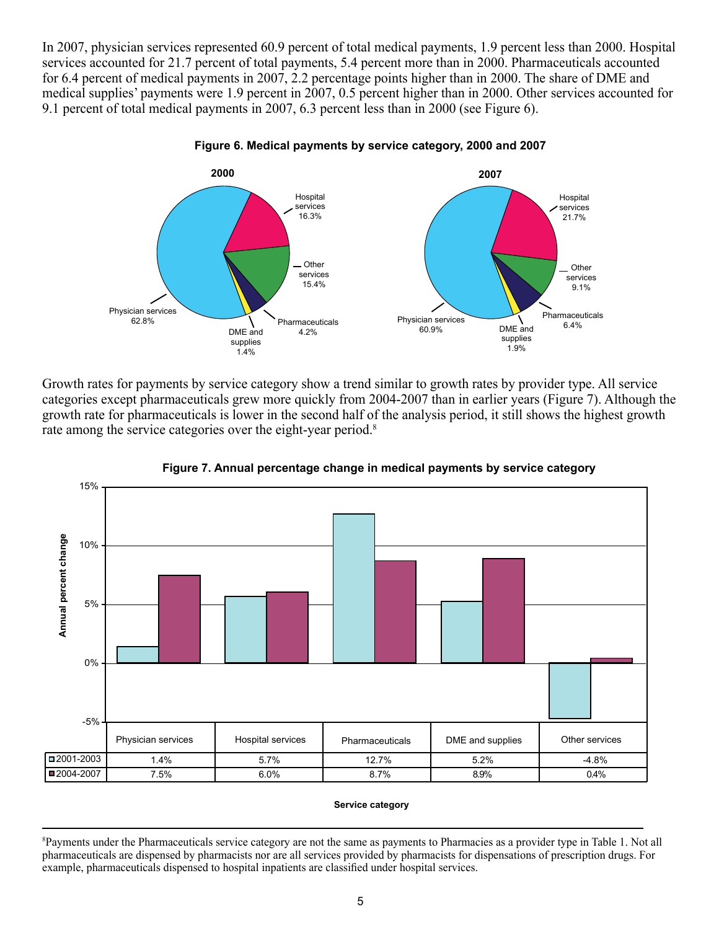In 2007, physician services represented 60.9 percent of total medical payments, 1.9 percent less than 2000. Hospital services accounted for 21.7 percent of total payments, 5.4 percent more than in 2000. Pharmaceuticals accounted for 6.4 percent of medical payments in 2007, 2.2 percentage points higher than in 2000. The share of DME and medical supplies' payments were 1.9 percent in 2007, 0.5 percent higher than in 2000. Other services accounted for 9.1 percent of total medical payments in 2007, 6.3 percent less than in 2000 (see Figure 6).



**Figure 6. Medical payments by service category, 2000 and 2007**

Growth rates for payments by service category show a trend similar to growth rates by provider type. All service categories except pharmaceuticals grew more quickly from 2004-2007 than in earlier years (Figure 7). Although the growth rate for pharmaceuticals is lower in the second half of the analysis period, it still shows the highest growth rate among the service categories over the eight-year period.<sup>8</sup>



**Figure 7. Annual percentage change in medical payments by service category**

#### **Service category**

<sup>8</sup> Payments under the Pharmaceuticals service category are not the same as payments to Pharmacies as a provider type in Table 1. Not all pharmaceuticals are dispensed by pharmacists nor are all services provided by pharmacists for dispensations of prescription drugs. For example, pharmaceuticals dispensed to hospital inpatients are classified under hospital services.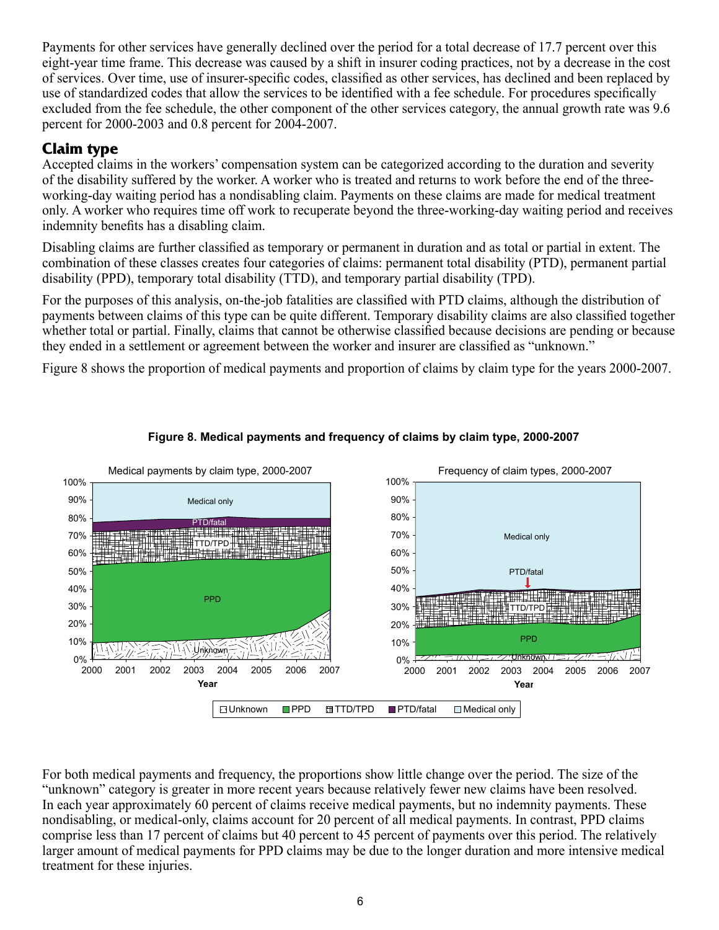Payments for other services have generally declined over the period for a total decrease of 17.7 percent over this eight-year time frame. This decrease was caused by a shift in insurer coding practices, not by a decrease in the cost of services. Over time, use of insurer-specific codes, classified as other services, has declined and been replaced by use of standardized codes that allow the services to be identified with a fee schedule. For procedures specifically excluded from the fee schedule, the other component of the other services category, the annual growth rate was 9.6 percent for 2000-2003 and 0.8 percent for 2004-2007.

# **Claim type**

Accepted claims in the workers' compensation system can be categorized according to the duration and severity of the disability suffered by the worker. A worker who is treated and returns to work before the end of the threeworking-day waiting period has a nondisabling claim. Payments on these claims are made for medical treatment only. A worker who requires time off work to recuperate beyond the three-working-day waiting period and receives indemnity benefits has a disabling claim.

Disabling claims are further classified as temporary or permanent in duration and as total or partial in extent. The combination of these classes creates four categories of claims: permanent total disability (PTD), permanent partial disability (PPD), temporary total disability (TTD), and temporary partial disability (TPD).

For the purposes of this analysis, on-the-job fatalities are classified with PTD claims, although the distribution of payments between claims of this type can be quite different. Temporary disability claims are also classified together whether total or partial. Finally, claims that cannot be otherwise classified because decisions are pending or because they ended in a settlement or agreement between the worker and insurer are classified as "unknown."

Figure 8 shows the proportion of medical payments and proportion of claims by claim type for the years 2000-2007.



### **Figure 8. Medical payments and frequency of claims by claim type, 2000-2007**

For both medical payments and frequency, the proportions show little change over the period. The size of the "unknown" category is greater in more recent years because relatively fewer new claims have been resolved. In each year approximately 60 percent of claims receive medical payments, but no indemnity payments. These nondisabling, or medical-only, claims account for 20 percent of all medical payments. In contrast, PPD claims comprise less than 17 percent of claims but 40 percent to 45 percent of payments over this period. The relatively larger amount of medical payments for PPD claims may be due to the longer duration and more intensive medical treatment for these injuries.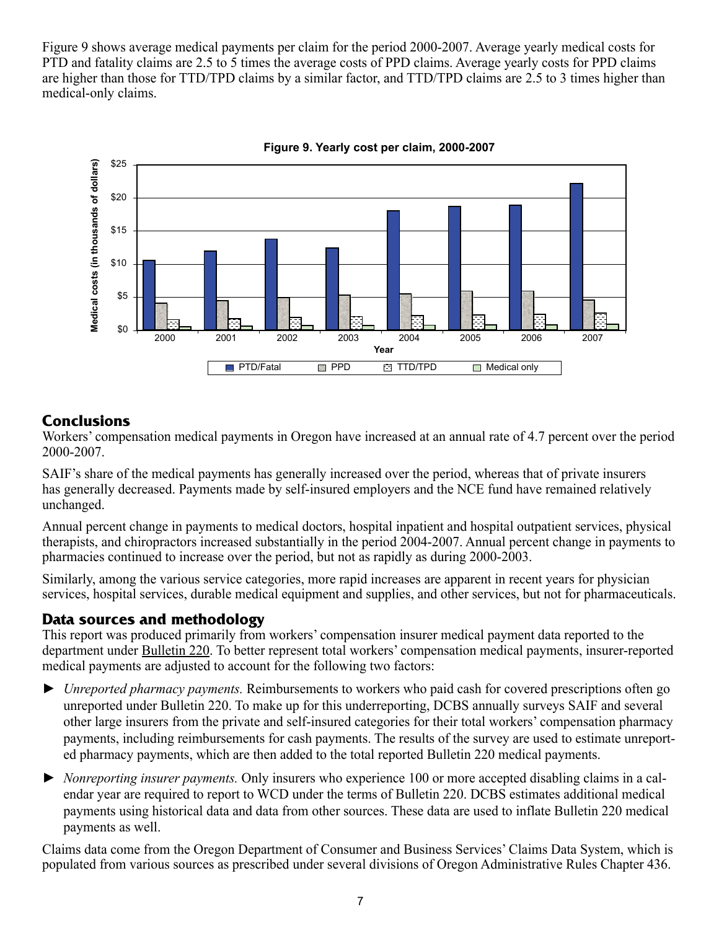Figure 9 shows average medical payments per claim for the period 2000-2007. Average yearly medical costs for PTD and fatality claims are 2.5 to 5 times the average costs of PPD claims. Average yearly costs for PPD claims are higher than those for TTD/TPD claims by a similar factor, and TTD/TPD claims are 2.5 to 3 times higher than medical-only claims.





# **Conclusions**

Workers' compensation medical payments in Oregon have increased at an annual rate of 4.7 percent over the period 2000-2007.

SAIF's share of the medical payments has generally increased over the period, whereas that of private insurers has generally decreased. Payments made by self-insured employers and the NCE fund have remained relatively unchanged.

Annual percent change in payments to medical doctors, hospital inpatient and hospital outpatient services, physical therapists, and chiropractors increased substantially in the period 2004-2007. Annual percent change in payments to pharmacies continued to increase over the period, but not as rapidly as during 2000-2003.

Similarly, among the various service categories, more rapid increases are apparent in recent years for physician services, hospital services, durable medical equipment and supplies, and other services, but not for pharmaceuticals.

## **Data sources and methodology**

This report was produced primarily from workers' compensation insurer medical payment data reported to the department under Bulletin 220. To better represent total workers' compensation medical payments, insurer-reported medical payments are adjusted to account for the following two factors:

- ► *Unreported pharmacy payments.* Reimbursements to workers who paid cash for covered prescriptions often go unreported under Bulletin 220. To make up for this underreporting, DCBS annually surveys SAIF and several other large insurers from the private and self-insured categories for their total workers' compensation pharmacy payments, including reimbursements for cash payments. The results of the survey are used to estimate unreported pharmacy payments, which are then added to the total reported Bulletin 220 medical payments.
- ► *Nonreporting insurer payments.* Only insurers who experience 100 or more accepted disabling claims in a calendar year are required to report to WCD under the terms of Bulletin 220. DCBS estimates additional medical payments using historical data and data from other sources. These data are used to inflate Bulletin 220 medical payments as well.

Claims data come from the Oregon Department of Consumer and Business Services' Claims Data System, which is populated from various sources as prescribed under several divisions of Oregon Administrative Rules Chapter 436.